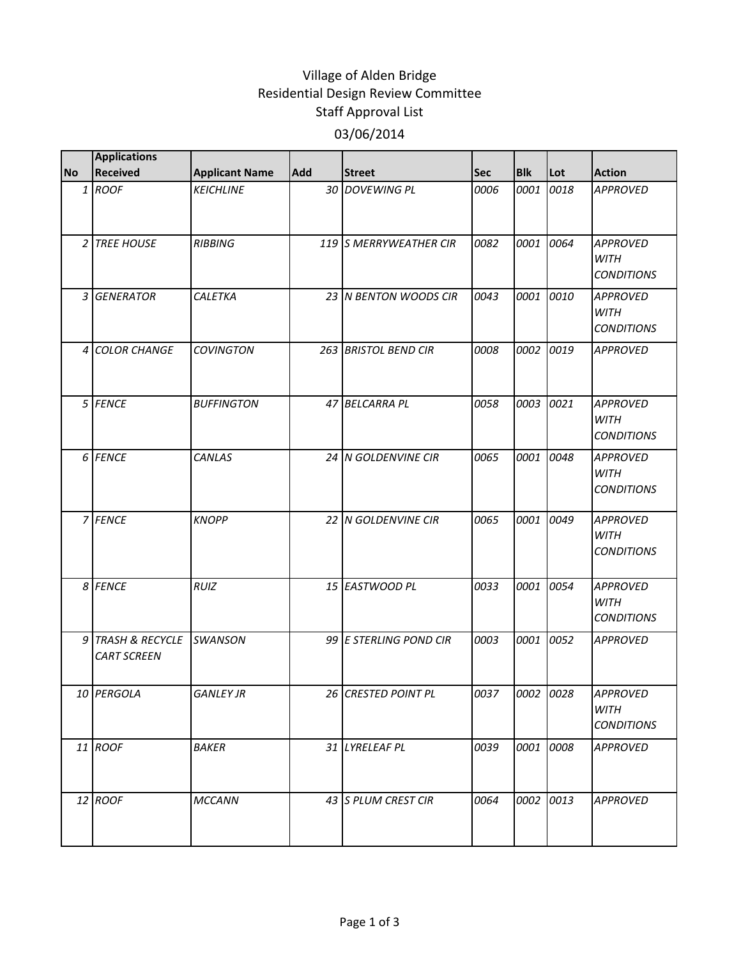## Village of Alden Bridge Residential Design Review Committee Staff Approval List 03/06/2014

|           | <b>Applications</b>                     |                       |     |                        |      |            |           |                                                     |
|-----------|-----------------------------------------|-----------------------|-----|------------------------|------|------------|-----------|-----------------------------------------------------|
| <b>No</b> | <b>Received</b>                         | <b>Applicant Name</b> | Add | <b>Street</b>          | Sec  | <b>Blk</b> | Lot       | <b>Action</b>                                       |
|           | 1 ROOF                                  | <b>KEICHLINE</b>      |     | 30 DOVEWING PL         | 0006 | 0001       | 0018      | <b>APPROVED</b>                                     |
|           | 2 TREE HOUSE                            | <b>RIBBING</b>        |     | 119 S MERRYWEATHER CIR | 0082 | 0001       | 0064      | <b>APPROVED</b><br><b>WITH</b><br><b>CONDITIONS</b> |
|           | 3 GENERATOR                             | <b>CALETKA</b>        |     | 23 N BENTON WOODS CIR  | 0043 | 0001       | 0010      | <b>APPROVED</b><br><b>WITH</b><br><b>CONDITIONS</b> |
|           | 4 COLOR CHANGE                          | <b>COVINGTON</b>      |     | 263 BRISTOL BEND CIR   | 0008 | 0002       | 0019      | <b>APPROVED</b>                                     |
|           | 5 FENCE                                 | <b>BUFFINGTON</b>     | 47  | <b>BELCARRA PL</b>     | 0058 | 0003       | 0021      | <b>APPROVED</b><br><b>WITH</b><br><b>CONDITIONS</b> |
|           | 6 FENCE                                 | CANLAS                |     | 24 N GOLDENVINE CIR    | 0065 | 0001       | 0048      | <b>APPROVED</b><br><b>WITH</b><br><b>CONDITIONS</b> |
|           | 7 FENCE                                 | <b>KNOPP</b>          |     | 22 N GOLDENVINE CIR    | 0065 | 0001       | 0049      | <b>APPROVED</b><br><b>WITH</b><br><b>CONDITIONS</b> |
|           | 8 FENCE                                 | RUIZ                  |     | 15 EASTWOOD PL         | 0033 | 0001       | 0054      | <b>APPROVED</b><br><b>WITH</b><br><b>CONDITIONS</b> |
|           | 9 TRASH & RECYCLE<br><b>CART SCREEN</b> | <b>SWANSON</b>        |     | 99 E STERLING POND CIR | 0003 | 0001       | 0052      | <b>APPROVED</b>                                     |
|           | 10 PERGOLA                              | <b>GANLEY JR</b>      |     | 26 CRESTED POINT PL    | 0037 |            | 0002 0028 | <b>APPROVED</b><br>WITH<br><b>CONDITIONS</b>        |
|           | 11 ROOF                                 | <b>BAKER</b>          |     | 31 LYRELEAF PL         | 0039 | 0001       | 0008      | <b>APPROVED</b>                                     |
|           | 12 ROOF                                 | <b>MCCANN</b>         |     | 43 S PLUM CREST CIR    | 0064 | 0002       | 0013      | <b>APPROVED</b>                                     |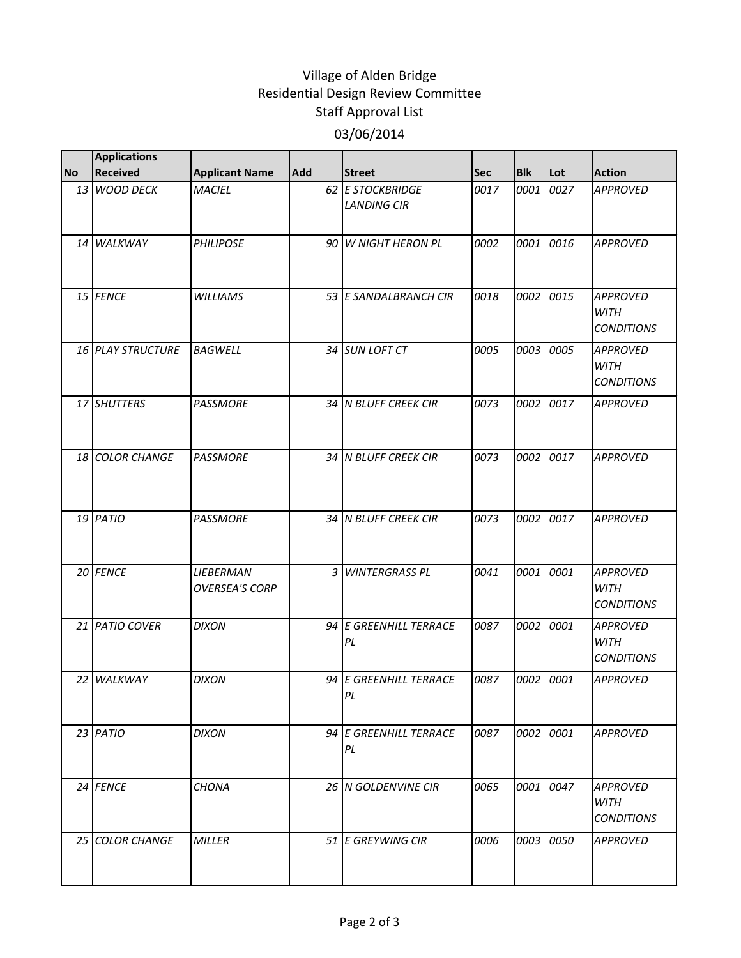## Village of Alden Bridge Residential Design Review Committee Staff Approval List 03/06/2014

|           | <b>Applications</b>      |                                    |            |                                        |            |            |           |                                                     |
|-----------|--------------------------|------------------------------------|------------|----------------------------------------|------------|------------|-----------|-----------------------------------------------------|
| <b>No</b> | <b>Received</b>          | <b>Applicant Name</b>              | <b>Add</b> | <b>Street</b>                          | <b>Sec</b> | <b>Blk</b> | Lot       | <b>Action</b>                                       |
|           | 13 WOOD DECK             | <b>MACIEL</b>                      |            | 62 E STOCKBRIDGE<br><b>LANDING CIR</b> | 0017       | 0001       | 0027      | <b>APPROVED</b>                                     |
|           | 14 WALKWAY               | <b>PHILIPOSE</b>                   |            | 90 W NIGHT HERON PL                    | 0002       | 0001       | 0016      | <b>APPROVED</b>                                     |
|           | 15 FENCE                 | <b>WILLIAMS</b>                    |            | 53 E SANDALBRANCH CIR                  | 0018       | 0002       | 0015      | <b>APPROVED</b><br><b>WITH</b><br><b>CONDITIONS</b> |
|           | <b>16 PLAY STRUCTURE</b> | <b>BAGWELL</b>                     |            | 34 SUN LOFT CT                         | 0005       | 0003       | 0005      | <b>APPROVED</b><br><b>WITH</b><br><b>CONDITIONS</b> |
|           | 17 SHUTTERS              | <b>PASSMORE</b>                    |            | 34 N BLUFF CREEK CIR                   | 0073       | 0002       | 0017      | <b>APPROVED</b>                                     |
|           | 18 COLOR CHANGE          | <b>PASSMORE</b>                    |            | 34 IN BLUFF CREEK CIR                  | 0073       | 0002       | 0017      | <b>APPROVED</b>                                     |
|           | 19 PATIO                 | <b>PASSMORE</b>                    |            | 34 N BLUFF CREEK CIR                   | 0073       | 0002       | 0017      | <b>APPROVED</b>                                     |
|           | 20 FENCE                 | LIEBERMAN<br><b>OVERSEA'S CORP</b> | 3          | <b>WINTERGRASS PL</b>                  | 0041       | 0001       | 0001      | <b>APPROVED</b><br><b>WITH</b><br><b>CONDITIONS</b> |
|           | 21 PATIO COVER           | <b>DIXON</b>                       |            | 94 E GREENHILL TERRACE<br>PL           | 0087       | 0002       | 0001      | <b>APPROVED</b><br><b>WITH</b><br><b>CONDITIONS</b> |
|           | 22 WALKWAY               | <b>DIXON</b>                       |            | 94 E GREENHILL TERRACE<br>PL           | 0087       | 0002       | 0001      | <b>APPROVED</b>                                     |
|           | 23 PATIO                 | <b>DIXON</b>                       |            | 94 E GREENHILL TERRACE<br>PL           | 0087       |            | 0002 0001 | <b>APPROVED</b>                                     |
|           | 24 FENCE                 | <b>CHONA</b>                       |            | 26   N GOLDENVINE CIR                  | 0065       | 0001       | 0047      | <b>APPROVED</b><br><b>WITH</b><br><b>CONDITIONS</b> |
|           | 25 COLOR CHANGE          | <b>MILLER</b>                      |            | 51 E GREYWING CIR                      | 0006       |            | 0003 0050 | <b>APPROVED</b>                                     |
|           |                          |                                    |            |                                        |            |            |           |                                                     |